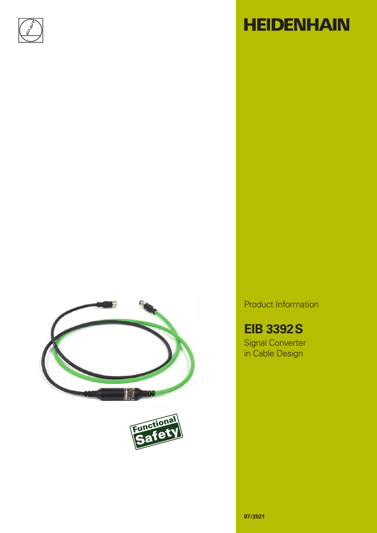





# **HEIDENHAIN**

Product Information

**EIB 3392S**

Signal Converter in Cable Design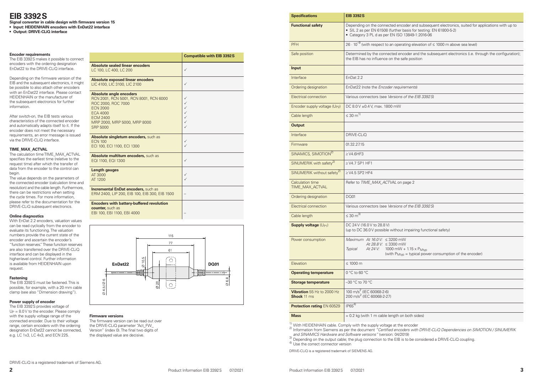| <b>Specifications</b>                      | <b>EIB 3392 S</b>                                                                                                                                                                                                         |  |  |  |  |  |
|--------------------------------------------|---------------------------------------------------------------------------------------------------------------------------------------------------------------------------------------------------------------------------|--|--|--|--|--|
| <b>Functional safety</b>                   | Depending on the connected encoder and subsequent electronics, suited for applications with up to<br>• SIL 2 as per EN 61508 (further basis for testing: EN 61800-5-2)<br>• Category 3 PL d as per EN ISO 13849-1:2016-06 |  |  |  |  |  |
| <b>PFH</b>                                 | 26 $\cdot$ 10 <sup>-9</sup> (with respect to an operating elevation of $\leq$ 1000 m above sea level)                                                                                                                     |  |  |  |  |  |
| Safe position                              | Determined by the connected encoder and the subsequent electronics (i.e. through the configuration);<br>the EIB has no influence on the safe position                                                                     |  |  |  |  |  |
| <b>Input</b>                               |                                                                                                                                                                                                                           |  |  |  |  |  |
| Interface                                  | EnDat 2.2                                                                                                                                                                                                                 |  |  |  |  |  |
| Ordering designation                       | EnDat22 (note the Encoder requirements)                                                                                                                                                                                   |  |  |  |  |  |
| <b>Electrical connection</b>               | Various connectors (see Versions of the EIB 3392S)                                                                                                                                                                        |  |  |  |  |  |
| Encoder supply voltage (U <sub>P2</sub> )  | DC 8.0 V ±0.4 V, max. 1800 mW                                                                                                                                                                                             |  |  |  |  |  |
| Cable length                               | ≤ 30 $m^{1}$                                                                                                                                                                                                              |  |  |  |  |  |
| <b>Output</b>                              |                                                                                                                                                                                                                           |  |  |  |  |  |
| Interface                                  | DRIVE-CLIQ                                                                                                                                                                                                                |  |  |  |  |  |
| Firmware                                   | 01.32.27.15                                                                                                                                                                                                               |  |  |  |  |  |
| SINAMICS, SIMOTION <sup>2)</sup>           | $\geq$ V4.6HF3                                                                                                                                                                                                            |  |  |  |  |  |
| SINUMERIK with safety <sup>2)</sup>        | $\geq$ V4.7 SP1 HF1                                                                                                                                                                                                       |  |  |  |  |  |
| SINUMERIK without safety <sup>2)</sup>     | $\geq$ V4.5 SP2 HF4                                                                                                                                                                                                       |  |  |  |  |  |
| <b>Calculation time</b><br>TIME_MAX_ACTVAL | Refer to TIME_MAX_ACTVAL on page 2                                                                                                                                                                                        |  |  |  |  |  |
| Ordering designation                       | <b>DQ01</b>                                                                                                                                                                                                               |  |  |  |  |  |
| <b>Electrical connection</b>               | Various connectors (see Versions of the EIB 3392S)                                                                                                                                                                        |  |  |  |  |  |
| Cable length                               | $\leq 30 \text{ m}^{3}$                                                                                                                                                                                                   |  |  |  |  |  |
| Supply voltage (U <sub>P1</sub> )          | DC 24 V (16.0 V to 28.8 V)<br>(up to DC 36.0 V possible without impairing functional safety)                                                                                                                              |  |  |  |  |  |
| Power consumption                          | Maximum At 16.0 V: ≤ 3200 mW<br>At 28.8 V: $\leq$ 3300 mW<br>At 24 V:<br>1000 mW + $1.15 \times$ P <sub>Mtyp</sub><br><b>Typical</b><br>(with $P_{Mtyp}$ = typical power consumption of the encoder)                      |  |  |  |  |  |
| Elevation                                  | $\leq 1000$ m                                                                                                                                                                                                             |  |  |  |  |  |
| <b>Operating temperature</b>               | $0 °C$ to 60 $°C$                                                                                                                                                                                                         |  |  |  |  |  |
| Storage temperature                        | $-30$ °C to 70 °C                                                                                                                                                                                                         |  |  |  |  |  |

on both sides)

## **EIB 3392S**

**Signal converter in cable design with firmware version 15**

The EIB 3392S makes it possible to connect encoders with the ordering designation EnDat22 to the DRIVE-CLiQ interface.

- **• Input: HEIDENHAIN encoders with EnDat22 interface**
- **• Output: DRIVE-CLiQ interface**

### **Encoder requirements**

Depending on the firmware version of the EIB and the subsequent electronics, it might be possible to also attach other encoders with an EnDat22 interface. Please contact HEIDENHAIN or the manufacturer of the subsequent electronics for further information.

After switch-on, the EIB tests various characteristics of the connected encoder and automatically adapts itself to it. If the encoder does not meet the necessary requirements, an error message is issued via the DRIVE-CLiQ interface.

### <span id="page-1-0"></span>**TIME\_MAX\_ACTVAL**

The calculation time TIME\_MAX\_ACTVAL specifies the earliest time (relative to the request time) after which the transfer of data from the encoder to the control can begin.

The value depends on the parameters of the connected encoder (calculation time and resolution) and the cable length. Furthermore, there can be restrictions when setting the cycle times. For more information, please refer to the documentation for the DRIVE-CLiQ subsequent electronics.

### **Online diagnostics**

With EnDat 2.2 encoders, valuation values can be read cyclically from the encoder to evaluate its functioning. The valuation numbers provide the current state of the encoder and ascertain the encoder's "function reserves." These function reserves are also transferred over the DRIVE-CLiQ interface and can be displayed in the higher-level control. Further information is available from HEIDENHAIN upon request.

### **Fastening**

The EIB 3392S must be fastened. This is possible, for example, with a 20 mm cable clamp (see also "Dimension drawing").

### **Power supply of encoder**

The EIB 3392S provides voltage of  $U_P = 8.0 V$  to the encoder. Please comply with the supply voltage range of the connected encoder. Due to their voltage range, certain encoders with the ordering designation EnDat22 cannot be connected, e.g. LC 1x3, LC 4x3, and ECN 225.

| <b>Specifications</b>                                   | <b>EIB 3392 S</b>                                                                                                                                                                                 |  |  |  |  |  |
|---------------------------------------------------------|---------------------------------------------------------------------------------------------------------------------------------------------------------------------------------------------------|--|--|--|--|--|
| <b>Functional safety</b>                                | Depending on the connected encoder and subsequent electronics, suited for<br>• SIL 2 as per EN 61508 (further basis for testing: EN 61800-5-2)<br>• Category 3 PL d as per EN ISO 13849-1:2016-06 |  |  |  |  |  |
| PFH                                                     | $26 \cdot 10^{-9}$ (with respect to an operating elevation of $\leq 1000$ m above sea level)                                                                                                      |  |  |  |  |  |
| Safe position                                           | Determined by the connected encoder and the subsequent electronics (i.e. t<br>the EIB has no influence on the safe position                                                                       |  |  |  |  |  |
| <b>Input</b>                                            |                                                                                                                                                                                                   |  |  |  |  |  |
| Interface                                               | EnDat 2.2                                                                                                                                                                                         |  |  |  |  |  |
| Ordering designation                                    | EnDat22 (note the Encoder requirements)                                                                                                                                                           |  |  |  |  |  |
| Electrical connection                                   | Various connectors (see Versions of the EIB 3392S)                                                                                                                                                |  |  |  |  |  |
| Encoder supply voltage (U <sub>P2</sub> )               | DC 8.0 V ±0.4 V, max. 1800 mW                                                                                                                                                                     |  |  |  |  |  |
| Cable length                                            | $\leq 30 \text{ m}^{1}$                                                                                                                                                                           |  |  |  |  |  |
| <b>Output</b>                                           |                                                                                                                                                                                                   |  |  |  |  |  |
| Interface                                               | DRIVE-CLIQ                                                                                                                                                                                        |  |  |  |  |  |
| Firmware                                                | 01.32.27.15                                                                                                                                                                                       |  |  |  |  |  |
| SINAMICS, SIMOTION <sup>2)</sup>                        | $\geq$ V4.6HF3                                                                                                                                                                                    |  |  |  |  |  |
| SINUMERIK with safety <sup>2)</sup>                     | $\geq$ V4.7 SP1 HF1                                                                                                                                                                               |  |  |  |  |  |
| SINUMERIK without safety <sup>2)</sup>                  | $\geq$ V4.5 SP2 HF4                                                                                                                                                                               |  |  |  |  |  |
| Calculation time<br>TIME_MAX_ACTVAL                     | Refer to TIME_MAX_ACTVAL on page 2                                                                                                                                                                |  |  |  |  |  |
| Ordering designation                                    | <b>DQ01</b>                                                                                                                                                                                       |  |  |  |  |  |
| Electrical connection                                   | Various connectors (see Versions of the EIB 3392S)                                                                                                                                                |  |  |  |  |  |
| Cable length                                            | $\leq 30 \text{ m}^{3}$                                                                                                                                                                           |  |  |  |  |  |
| Supply voltage (U <sub>P1</sub> )                       | DC 24 V (16.0 V to 28.8 V)<br>(up to DC 36.0 V possible without impairing functional safety)                                                                                                      |  |  |  |  |  |
| Power consumption                                       | Maximum At 16.0 V: ≤ 3200 mW<br>At 28.8 V: $\leq$ 3300 mW                                                                                                                                         |  |  |  |  |  |
|                                                         | At 24 V:<br>1000 mW + $1.15 \times$ P <sub>Mtyp</sub><br>Typical<br>(with $P_{Mtyp}$ = typical power consumption of the encod                                                                     |  |  |  |  |  |
| Elevation                                               | $\leq 1000$ m                                                                                                                                                                                     |  |  |  |  |  |
| <b>Operating temperature</b>                            | $0 °C$ to 60 $°C$                                                                                                                                                                                 |  |  |  |  |  |
| <b>Storage temperature</b>                              | -30 °C to 70 °C                                                                                                                                                                                   |  |  |  |  |  |
| <b>Vibration</b> 55 Hz to 2000 Hz<br><b>Shock 11 ms</b> | 100 m/s <sup>2</sup> (IEC 60068-2-6)<br>200 m/s <sup>2</sup> (IEC 60068-2-27)                                                                                                                     |  |  |  |  |  |
| <b>Protection rating EN 60529</b>                       | $IP65^{4}$                                                                                                                                                                                        |  |  |  |  |  |
| <b>Mass</b>                                             | $\approx$ 0.2 kg (with 1 m cable length on both sides)                                                                                                                                            |  |  |  |  |  |

<sup>1)</sup> With HEIDENHAIN cable. Comply with the supply voltage at the encoder<br><sup>2)</sup> Information from Siemens as per the document *"Certified encoders with DRIVE-CLiQ Dependencies on SIMOTION / SINUMERIK and SINAMICS Hardware and Software versions"* (version: 04/2019) <sup>3)</sup> Depending on the output cable; the plug connection to the EIB is to be considered a DRIVE-CLiQ coupling.  $^{4)}$  Use the correct connector version

DRIVE-CLiQ is a registered trademark of SIEMENS AG.

|                                                                                                                                                                                                            | <b>Compatible with EIB 3392S</b>                                            |
|------------------------------------------------------------------------------------------------------------------------------------------------------------------------------------------------------------|-----------------------------------------------------------------------------|
| <b>Absolute sealed linear encoders</b><br>LC 100, LC 400, LC 200                                                                                                                                           | $\checkmark$                                                                |
| <b>Absolute exposed linear encoders</b><br>LIC 4100, LIC 3100, LIC 2100                                                                                                                                    | $\checkmark$                                                                |
| <b>Absolute angle encoders</b><br>RCN 2001, RCN 5001, RCN 8001, RCN 6000<br>ROC 2000, ROC 7000<br><b>ECN 2000</b><br><b>ECA 4000</b><br><b>ECM 2400</b><br>MRP 2000, MRP 5000, MRP 8000<br><b>SRP 5000</b> | $\checkmark$<br>$\checkmark$<br>$\checkmark$<br>✓<br>✓<br>$\checkmark$<br>✓ |
| Absolute singleturn encoders, such as<br><b>ECN 100</b><br>ECI 100, ECI 1100, ECI 1300                                                                                                                     | $\checkmark$<br>✓                                                           |
| Absolute multiturn encoders, such as<br>EQI 1100, EQI 1300                                                                                                                                                 | $\checkmark$                                                                |
| Length gauges<br>AT 3000<br>AT 1200                                                                                                                                                                        | ✓<br>$\checkmark$                                                           |
| <b>Incremental EnDat encoders, such as</b><br>ERM 2400, LIP 200, EIB 100, EIB 300, EIB 1500                                                                                                                |                                                                             |
| <b>Encoders with battery-buffered revolution</b><br>counter, such as<br>EBI 100, EBI 1100, EBI 4000                                                                                                        |                                                                             |



### **Firmware versions**

The firmware version can be read out over the DRIVE-CLiQ parameter "Act\_FW\_ Version" (index 0). The final two digits of the displayed value are decisive.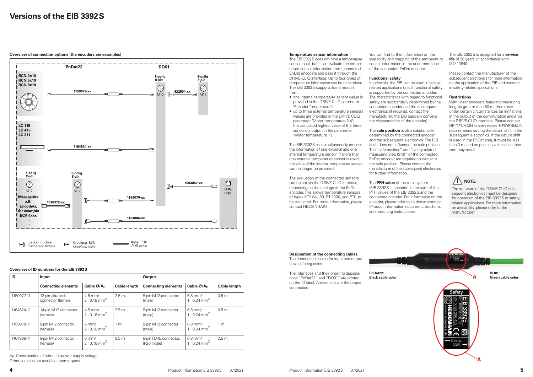

## **Versions of the EIB 3392S**

**Overview of connection options (the encoders are examples) Temperature sensor information** 

The EIB 3392S does not have a temperature sensor input, but it can evaluate the temperature sensor information from connected EnDat encoders and pass it through the DRIVE-CLiQ interface. Up to four types of temperature information can be transmitted. The EIB 3392S supports transmission from:

- one internal temperature sensor (value is provided in the DRIVE-CLiQ parameter "Encoder Temperature")
- up to three external temperature sensors (values are provided in the DRIVE CLiQ parameter "Motor temperature 2-4"; the calculated highest value of the three sensors is output in the parameter "Motor temperature 1")



The EIB 3392S can simultaneously process the information of one external and one internal temperature sensor. If more than one external temperature sensor is used, the value of the internal temperature sensor can no longer be provided.

In principle, the EIB can be used in safetyrelated applications only if functional safety is supported by the connected encoder. The characteristics with regard to functional safety are substantially determined by the connected encoder and the subsequent electronics (if required, contact the manufacturer; the EIB basically conveys the characteristics of the encoder).

The evaluation of the connected sensors can be set via the DRIVE-CLiQ interface, depending on the settings of the EnDat encoder. This allows temperature sensors of types KTY 84-130, PT 1000, and PTC to be evaluated. For more information, please contact HEIDENHAIN.

**Designation of the connecting cables** The connection cables for input and output

have differing colors.

The interfaces and their ordering designations "EnDat22" and "DQ01" are printed on the ID label. Arrows indicate the proper connection.



You can find further information on the availability and mapping of the temperature sensor information in the documentation of the connected EnDat encoder.

A<sub>P</sub>: Cross-section of wires for power supply voltage Other versions are available upon request.

### **Functional safety**

The **safe position** is also substantially determined by the connected encoder and the subsequent electronics. The EIB itself does not influence the safe position. The "safe position" and "safety-related measuring step (SM)" of the connected EnDat encoder are required to calculate the safe position. Please contact the manufacturer of the subsequent electronics for further information.

The **PFH value** of the total system (EIB 3392S + encoder) is the sum of the PFH values of the EIB 3392S and the connected encoder. For information on the encoder, please refer to its documentation (Product Information document, brochure, and mounting instructions).

| ID         | <b>Input</b>                            |                                               |                     | <b>Output</b>                        |                                                     |                     |
|------------|-----------------------------------------|-----------------------------------------------|---------------------|--------------------------------------|-----------------------------------------------------|---------------------|
|            | <b>Connecting elements</b>              | Cable Ø/A <sub>P</sub>                        | <b>Cable length</b> | <b>Connecting elements</b>           | Cable Ø/A <sub>P</sub>                              | <b>Cable length</b> |
| 1159077-11 | 12-pin ultra-lock<br>connector (female) | $4.5 \text{ mm/}$<br>2 · 0.16 mm <sup>2</sup> | 2.5 <sub>m</sub>    | 8-pin M12 connector<br>(male)        | $6.8$ mm/<br>$1.0.24 \text{ mm}^2$                  | 0.5 <sub>m</sub>    |
| 1164824-11 | 14-pin M12 connector<br>(female)        | 4.5 mm/<br>$2 \cdot 0.16 \text{ mm}^2$        | 2.5 <sub>m</sub>    | 8-pin M12 connector<br>(male)        | $6.8 \text{ mm/}$<br>1 $\cdot$ 0.24 mm <sup>2</sup> | 0.5 <sub>m</sub>    |
| 1159070-11 | 8-pin M12 connector<br>(female)         | $6 \text{ mm/}$<br>2 · 0.16 mm <sup>2</sup>   | 1 <sub>m</sub>      | 8-pin M12 connector<br>(male)        | $6.8 \text{ mm/}$<br>1 $\cdot$ 0.24 mm <sup>2</sup> | 1 <sub>m</sub>      |
| 1164806-11 | 8-pin M12 connector<br>(female)         | $6 \text{ mm/}$<br>2 · 0.16 mm <sup>2</sup>   | 0.5 <sub>m</sub>    | 6-pin RJ45 connector,<br>IP20 (male) | $6.8$ mm/<br>1 $\cdot$ 0.24 mm <sup>2</sup>         | 2.5 <sub>m</sub>    |

The EIB 3392S is designed for a **service life** of 20 years (in accordance with ISO 13849).

Please contact the manufacturer of the subsequent electronics for more information on the application of the EIB and encoder in safety-related applications.

### **Restrictions**

With linear encoders featuring measuring lengths greater than 50 m, there may under certain circumstances be limitations in the output of the commutation angle via the DRIVE-CLiQ interface. Please contact HEIDENHAIN in such cases. HEIDENHAIN recommends setting the datum shift in the subsequent electronics. If the datum shift is used in the EnDat area, it must be less than 3 m, and no position values less than zero may result.

### **Overview of ID numbers for the EIB 3392S**



The software of the DRIVE-CLiQ subsequent electronics must be designed for operation of the EIB 3392S in safetyrelated applications. For more information on availability, please refer to the manufacturer.